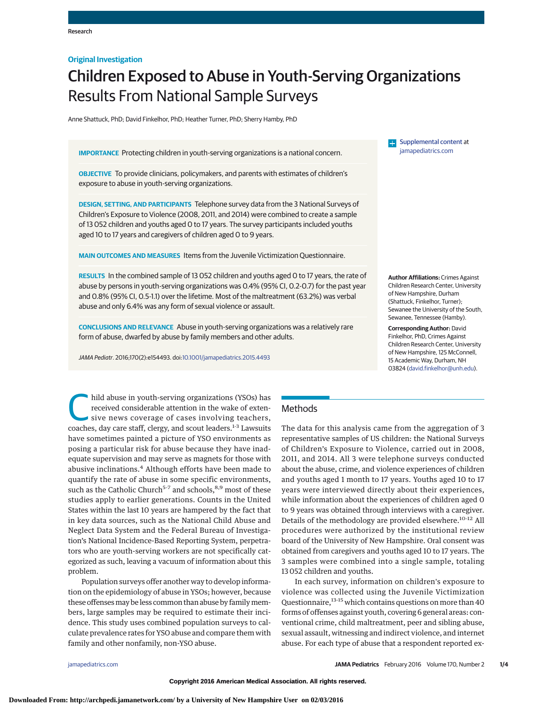## **Original Investigation**

# Children Exposed to Abuse in Youth-Serving Organizations Results From National Sample Surveys

Anne Shattuck, PhD; David Finkelhor, PhD; Heather Turner, PhD; Sherry Hamby, PhD

**IMPORTANCE** Protecting children in youth-serving organizations is a national concern.

**OBJECTIVE** To provide clinicians, policymakers, and parents with estimates of children's exposure to abuse in youth-serving organizations.

**DESIGN, SETTING, AND PARTICIPANTS** Telephone survey data from the 3 National Surveys of Children's Exposure to Violence (2008, 2011, and 2014) were combined to create a sample of 13 052 children and youths aged 0 to 17 years. The survey participants included youths aged 10 to 17 years and caregivers of children aged 0 to 9 years.

**MAIN OUTCOMES AND MEASURES** Items from the Juvenile Victimization Questionnaire.

**RESULTS** In the combined sample of 13 052 children and youths aged 0 to 17 years, the rate of abuse by persons in youth-serving organizations was 0.4% (95% CI, 0.2-0.7) for the past year and 0.8% (95% CI, 0.5-1.1) over the lifetime. Most of the maltreatment (63.2%) was verbal abuse and only 6.4% was any form of sexual violence or assault.

**CONCLUSIONS AND RELEVANCE** Abuse in youth-serving organizations was a relatively rare form of abuse, dwarfed by abuse by family members and other adults.

JAMA Pediatr. 2016;170(2):e154493. doi[:10.1001/jamapediatrics.2015.4493](http://jama.jamanetwork.com/article.aspx?doi=10.1001/jamapediatrics.2015.4493&utm_campaign=articlePDF%26utm_medium=articlePDFlink%26utm_source=articlePDF%26utm_content=jamapediatrics.2015.4493)

[Supplemental content](http://jama.jamanetwork.com/article.aspx?doi=10.1001/jamapediatrics.2015.4493&utm_campaign=articlePDF%26utm_medium=articlePDFlink%26utm_source=articlePDF%26utm_content=jamapediatrics.2015.4493) at [jamapediatrics.com](http://www.jamapediatrics.com/?utm_campaign=articlePDF%26utm_medium=articlePDFlink%26utm_source=articlePDF%26utm_content=jamapediatrics.2015.4493)

**Author Affiliations:** Crimes Against Children Research Center, University of New Hampshire, Durham (Shattuck, Finkelhor, Turner); Sewanee the University of the South, Sewanee, Tennessee (Hamby).

**Corresponding Author:** David Finkelhor, PhD, Crimes Against Children Research Center, University of New Hampshire, 125 McConnell, 15 Academic Way, Durham, NH 03824 [\(david.finkelhor@unh.edu\)](mailto:david.finkelhor@unh.edu).

hild abuse in youth-serving organizations (YSOs) has<br>received considerable attention in the wake of exten-<br>sive news coverage of cases involving teachers,<br>coaches day care staff clargy and scout loaders <sup>1-3</sup> I awquite received considerable attention in the wake of extensive news coverage of cases involving teachers, coaches, day care staff, clergy, and scout leaders.<sup>1-3</sup> Lawsuits have sometimes painted a picture of YSO environments as posing a particular risk for abuse because they have inadequate supervision and may serve as magnets for those with abusive inclinations.<sup>4</sup> Although efforts have been made to quantify the rate of abuse in some specific environments, such as the Catholic Church<sup>5-7</sup> and schools,<sup>8,9</sup> most of these studies apply to earlier generations. Counts in the United States within the last 10 years are hampered by the fact that in key data sources, such as the National Child Abuse and Neglect Data System and the Federal Bureau of Investigation's National Incidence-Based Reporting System, perpetrators who are youth-serving workers are not specifically categorized as such, leaving a vacuum of information about this problem.

Population surveys offer another way to develop information on the epidemiology of abuse in YSOs; however, because these offenses may be less common than abuse by family members, large samples may be required to estimate their incidence. This study uses combined population surveys to calculate prevalence rates for YSO abuse and compare them with family and other nonfamily, non-YSO abuse.

# **Methods**

The data for this analysis came from the aggregation of 3 representative samples of US children: the National Surveys of Children's Exposure to Violence, carried out in 2008, 2011, and 2014. All 3 were telephone surveys conducted about the abuse, crime, and violence experiences of children and youths aged 1 month to 17 years. Youths aged 10 to 17 years were interviewed directly about their experiences, while information about the experiences of children aged 0 to 9 years was obtained through interviews with a caregiver. Details of the methodology are provided elsewhere.<sup>10-12</sup> All procedures were authorized by the institutional review board of the University of New Hampshire. Oral consent was obtained from caregivers and youths aged 10 to 17 years. The 3 samples were combined into a single sample, totaling 13 052 children and youths.

In each survey, information on children's exposure to violence was collected using the Juvenile Victimization Questionnaire,<sup>13-15</sup> which contains questions on more than 40 forms of offenses against youth, covering 6 general areas: conventional crime, child maltreatment, peer and sibling abuse, sexual assault, witnessing and indirect violence, and internet abuse. For each type of abuse that a respondent reported ex-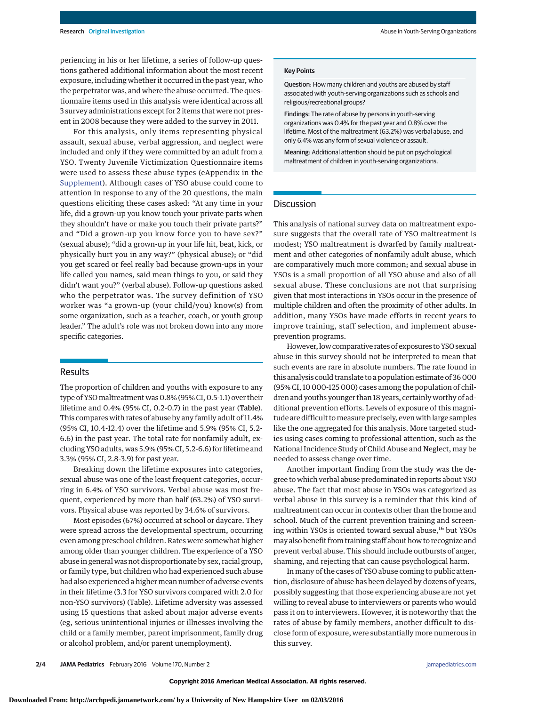periencing in his or her lifetime, a series of follow-up questions gathered additional information about the most recent exposure, including whether it occurred in the past year, who the perpetrator was, and where the abuse occurred. The questionnaire items used in this analysis were identical across all 3 survey administrations except for 2 items that were not present in 2008 because they were added to the survey in 2011.

For this analysis, only items representing physical assault, sexual abuse, verbal aggression, and neglect were included and only if they were committed by an adult from a YSO. Twenty Juvenile Victimization Questionnaire items were used to assess these abuse types (eAppendix in the [Supplement\)](http://jama.jamanetwork.com/article.aspx?doi=10.1001/jamapediatrics.2015.4493&utm_campaign=articlePDF%26utm_medium=articlePDFlink%26utm_source=articlePDF%26utm_content=jamapediatrics.2015.4493). Although cases of YSO abuse could come to attention in response to any of the 20 questions, the main questions eliciting these cases asked: "At any time in your life, did a grown-up you know touch your private parts when they shouldn't have or make you touch their private parts?" and "Did a grown-up you know force you to have sex?" (sexual abuse); "did a grown-up in your life hit, beat, kick, or physically hurt you in any way?" (physical abuse); or "did you get scared or feel really bad because grown-ups in your life called you names, said mean things to you, or said they didn't want you?" (verbal abuse). Follow-up questions asked who the perpetrator was. The survey definition of YSO worker was "a grown-up (your child/you) know(s) from some organization, such as a teacher, coach, or youth group leader." The adult's role was not broken down into any more specific categories.

## **Results**

The proportion of children and youths with exposure to any type of YSOmaltreatment was 0.8% (95% CI, 0.5-1.1) over their lifetime and 0.4% (95% CI, 0.2-0.7) in the past year (Table). This compares with rates of abuse by any family adult of 11.4% (95% CI, 10.4-12.4) over the lifetime and 5.9% (95% CI, 5.2- 6.6) in the past year. The total rate for nonfamily adult, excluding YSO adults, was 5.9% (95% CI, 5.2-6.6) for lifetime and 3.3% (95% CI, 2.8-3.9) for past year.

Breaking down the lifetime exposures into categories, sexual abuse was one of the least frequent categories, occurring in 6.4% of YSO survivors. Verbal abuse was most frequent, experienced by more than half (63.2%) of YSO survivors. Physical abuse was reported by 34.6% of survivors.

Most episodes (67%) occurred at school or daycare. They were spread across the developmental spectrum, occurring even among preschool children. Rates were somewhat higher among older than younger children. The experience of a YSO abuse in general was not disproportionate by sex, racial group, or family type, but children who had experienced such abuse had also experienced a higher mean number of adverse events in their lifetime (3.3 for YSO survivors compared with 2.0 for non-YSO survivors) (Table). Lifetime adversity was assessed using 15 questions that asked about major adverse events (eg, serious unintentional injuries or illnesses involving the child or a family member, parent imprisonment, family drug or alcohol problem, and/or parent unemployment).

#### **Key Points**

Question: How many children and youths are abused by staff associated with youth-serving organizations such as schools and religious/recreational groups?

Findings: The rate of abuse by persons in youth-serving organizations was 0.4% for the past year and 0.8% over the lifetime. Most of the maltreatment (63.2%) was verbal abuse, and only 6.4% was any form of sexual violence or assault.

Meaning: Additional attention should be put on psychological maltreatment of children in youth-serving organizations.

### **Discussion**

This analysis of national survey data on maltreatment exposure suggests that the overall rate of YSO maltreatment is modest; YSO maltreatment is dwarfed by family maltreatment and other categories of nonfamily adult abuse, which are comparatively much more common; and sexual abuse in YSOs is a small proportion of all YSO abuse and also of all sexual abuse. These conclusions are not that surprising given that most interactions in YSOs occur in the presence of multiple children and often the proximity of other adults. In addition, many YSOs have made efforts in recent years to improve training, staff selection, and implement abuseprevention programs.

However, low comparative rates of exposures to YSO sexual abuse in this survey should not be interpreted to mean that such events are rare in absolute numbers. The rate found in this analysis could translate to a population estimate of 36 000 (95% CI, 10 000-125 000) cases among the population of children and youths younger than 18 years, certainly worthy of additional prevention efforts. Levels of exposure of this magnitude are difficult to measure precisely, even with large samples like the one aggregated for this analysis. More targeted studies using cases coming to professional attention, such as the National Incidence Study of Child Abuse and Neglect, may be needed to assess change over time.

Another important finding from the study was the degree to which verbal abuse predominated in reports about YSO abuse. The fact that most abuse in YSOs was categorized as verbal abuse in this survey is a reminder that this kind of maltreatment can occur in contexts other than the home and school. Much of the current prevention training and screening within YSOs is oriented toward sexual abuse,<sup>16</sup> but YSOs may also benefit from training staff about how to recognize and prevent verbal abuse. This should include outbursts of anger, shaming, and rejecting that can cause psychological harm.

In many of the cases of YSO abuse coming to public attention, disclosure of abuse has been delayed by dozens of years, possibly suggesting that those experiencing abuse are not yet willing to reveal abuse to interviewers or parents who would pass it on to interviewers. However, it is noteworthy that the rates of abuse by family members, another difficult to disclose form of exposure, were substantially more numerous in this survey.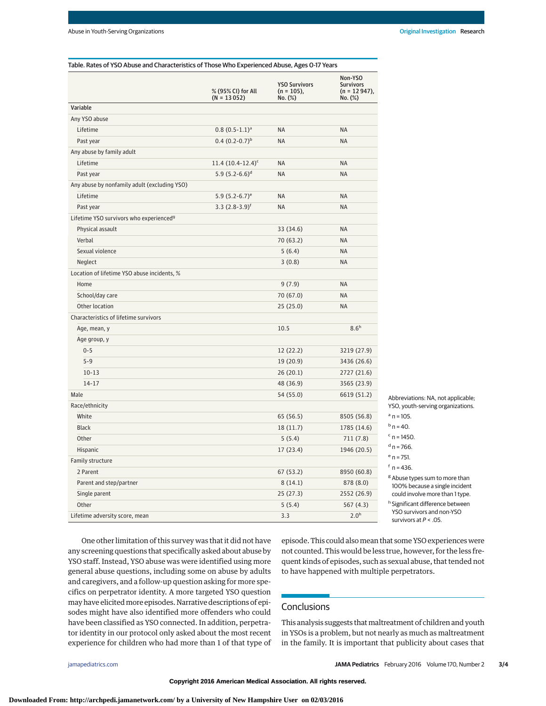| Non-YSO<br><b>YSO Survivors</b><br><b>Survivors</b><br>% (95% CI) for All<br>$(n = 105)$ ,<br>$(n = 12947)$ ,<br>$(N = 13052)$<br>No. (%)<br>No. (%)<br>Variable<br>Any YSO abuse<br>$0.8(0.5-1.1)^a$<br><b>NA</b><br>Lifetime<br><b>NA</b><br>$0.4(0.2-0.7)^{b}$<br><b>NA</b><br><b>NA</b><br>Past year<br>Any abuse by family adult<br>Lifetime<br>$11.4(10.4-12.4)^c$<br><b>NA</b><br><b>NA</b><br>5.9 $(5.2-6.6)^d$<br>Past year<br>NA<br><b>NA</b><br>Any abuse by nonfamily adult (excluding YSO)<br>Lifetime<br>5.9 $(5.2-6.7)$ <sup>e</sup><br><b>NA</b><br><b>NA</b><br>3.3 $(2.8-3.9)$ <sup>f</sup><br><b>NA</b><br><b>NA</b><br>Past year<br>Lifetime YSO survivors who experienced <sup>9</sup><br>33 (34.6)<br><b>NA</b><br>Physical assault<br>Verbal<br>70 (63.2)<br><b>NA</b><br>Sexual violence<br>5(6.4)<br><b>NA</b><br>Neglect<br>3(0.8)<br><b>NA</b><br>Location of lifetime YSO abuse incidents, %<br>9(7.9)<br><b>NA</b><br>Home<br>School/day care<br>70 (67.0)<br><b>NA</b><br>Other location<br>25(25.0)<br><b>NA</b><br>Characteristics of lifetime survivors<br>8.6 <sup>h</sup><br>10.5<br>Age, mean, y<br>Age group, y<br>$0 - 5$<br>12(22.2)<br>3219 (27.9)<br>$5 - 9$<br>19 (20.9)<br>3436 (26.6)<br>$10 - 13$<br>26(20.1)<br>2727 (21.6)<br>$14 - 17$<br>48 (36.9)<br>3565 (23.9)<br>Male<br>54 (55.0)<br>6619 (51.2)<br>Abbreviations: NA, not applicable;<br>Race/ethnicity<br>$a$ n = 105.<br>White<br>65 (56.5)<br>8505 (56.8)<br>$b$ n = 40.<br>1785 (14.6)<br><b>Black</b><br>18(11.7)<br>$c$ n = 1450.<br>Other<br>5(5.4)<br>711(7.8)<br>$d$ n = 766.<br>1946 (20.5)<br>Hispanic<br>17 (23.4)<br>$^{\rm e}$ n = 751.<br>Family structure<br>$f_{n} = 436$ .<br>2 Parent<br>67 (53.2)<br>8950 (60.8)<br><sup>g</sup> Abuse types sum to more than<br>Parent and step/partner<br>8(14.1)<br>878 (8.0)<br>100% because a single incident<br>25 (27.3)<br>could involve more than 1 type.<br>Single parent<br>2552 (26.9)<br><sup>h</sup> Significant difference between<br>Other<br>5(5.4)<br>567 (4.3)<br>YSO survivors and non-YSO<br>2.0 <sup>h</sup><br>3.3<br>Lifetime adversity score, mean<br>survivors at $P < .05$ . | Table. Rates of YSO Abuse and Characteristics of Those Who Experienced Abuse, Ages O-17 Years |  |  |                                   |
|--------------------------------------------------------------------------------------------------------------------------------------------------------------------------------------------------------------------------------------------------------------------------------------------------------------------------------------------------------------------------------------------------------------------------------------------------------------------------------------------------------------------------------------------------------------------------------------------------------------------------------------------------------------------------------------------------------------------------------------------------------------------------------------------------------------------------------------------------------------------------------------------------------------------------------------------------------------------------------------------------------------------------------------------------------------------------------------------------------------------------------------------------------------------------------------------------------------------------------------------------------------------------------------------------------------------------------------------------------------------------------------------------------------------------------------------------------------------------------------------------------------------------------------------------------------------------------------------------------------------------------------------------------------------------------------------------------------------------------------------------------------------------------------------------------------------------------------------------------------------------------------------------------------------------------------------------------------------------------------------------------------------------------------------------------------------------------------------------------------------------------------------------------------------|-----------------------------------------------------------------------------------------------|--|--|-----------------------------------|
|                                                                                                                                                                                                                                                                                                                                                                                                                                                                                                                                                                                                                                                                                                                                                                                                                                                                                                                                                                                                                                                                                                                                                                                                                                                                                                                                                                                                                                                                                                                                                                                                                                                                                                                                                                                                                                                                                                                                                                                                                                                                                                                                                                    |                                                                                               |  |  |                                   |
|                                                                                                                                                                                                                                                                                                                                                                                                                                                                                                                                                                                                                                                                                                                                                                                                                                                                                                                                                                                                                                                                                                                                                                                                                                                                                                                                                                                                                                                                                                                                                                                                                                                                                                                                                                                                                                                                                                                                                                                                                                                                                                                                                                    |                                                                                               |  |  |                                   |
|                                                                                                                                                                                                                                                                                                                                                                                                                                                                                                                                                                                                                                                                                                                                                                                                                                                                                                                                                                                                                                                                                                                                                                                                                                                                                                                                                                                                                                                                                                                                                                                                                                                                                                                                                                                                                                                                                                                                                                                                                                                                                                                                                                    |                                                                                               |  |  |                                   |
|                                                                                                                                                                                                                                                                                                                                                                                                                                                                                                                                                                                                                                                                                                                                                                                                                                                                                                                                                                                                                                                                                                                                                                                                                                                                                                                                                                                                                                                                                                                                                                                                                                                                                                                                                                                                                                                                                                                                                                                                                                                                                                                                                                    |                                                                                               |  |  |                                   |
|                                                                                                                                                                                                                                                                                                                                                                                                                                                                                                                                                                                                                                                                                                                                                                                                                                                                                                                                                                                                                                                                                                                                                                                                                                                                                                                                                                                                                                                                                                                                                                                                                                                                                                                                                                                                                                                                                                                                                                                                                                                                                                                                                                    |                                                                                               |  |  |                                   |
|                                                                                                                                                                                                                                                                                                                                                                                                                                                                                                                                                                                                                                                                                                                                                                                                                                                                                                                                                                                                                                                                                                                                                                                                                                                                                                                                                                                                                                                                                                                                                                                                                                                                                                                                                                                                                                                                                                                                                                                                                                                                                                                                                                    |                                                                                               |  |  |                                   |
|                                                                                                                                                                                                                                                                                                                                                                                                                                                                                                                                                                                                                                                                                                                                                                                                                                                                                                                                                                                                                                                                                                                                                                                                                                                                                                                                                                                                                                                                                                                                                                                                                                                                                                                                                                                                                                                                                                                                                                                                                                                                                                                                                                    |                                                                                               |  |  |                                   |
|                                                                                                                                                                                                                                                                                                                                                                                                                                                                                                                                                                                                                                                                                                                                                                                                                                                                                                                                                                                                                                                                                                                                                                                                                                                                                                                                                                                                                                                                                                                                                                                                                                                                                                                                                                                                                                                                                                                                                                                                                                                                                                                                                                    |                                                                                               |  |  |                                   |
|                                                                                                                                                                                                                                                                                                                                                                                                                                                                                                                                                                                                                                                                                                                                                                                                                                                                                                                                                                                                                                                                                                                                                                                                                                                                                                                                                                                                                                                                                                                                                                                                                                                                                                                                                                                                                                                                                                                                                                                                                                                                                                                                                                    |                                                                                               |  |  |                                   |
|                                                                                                                                                                                                                                                                                                                                                                                                                                                                                                                                                                                                                                                                                                                                                                                                                                                                                                                                                                                                                                                                                                                                                                                                                                                                                                                                                                                                                                                                                                                                                                                                                                                                                                                                                                                                                                                                                                                                                                                                                                                                                                                                                                    |                                                                                               |  |  |                                   |
|                                                                                                                                                                                                                                                                                                                                                                                                                                                                                                                                                                                                                                                                                                                                                                                                                                                                                                                                                                                                                                                                                                                                                                                                                                                                                                                                                                                                                                                                                                                                                                                                                                                                                                                                                                                                                                                                                                                                                                                                                                                                                                                                                                    |                                                                                               |  |  |                                   |
|                                                                                                                                                                                                                                                                                                                                                                                                                                                                                                                                                                                                                                                                                                                                                                                                                                                                                                                                                                                                                                                                                                                                                                                                                                                                                                                                                                                                                                                                                                                                                                                                                                                                                                                                                                                                                                                                                                                                                                                                                                                                                                                                                                    |                                                                                               |  |  |                                   |
|                                                                                                                                                                                                                                                                                                                                                                                                                                                                                                                                                                                                                                                                                                                                                                                                                                                                                                                                                                                                                                                                                                                                                                                                                                                                                                                                                                                                                                                                                                                                                                                                                                                                                                                                                                                                                                                                                                                                                                                                                                                                                                                                                                    |                                                                                               |  |  |                                   |
|                                                                                                                                                                                                                                                                                                                                                                                                                                                                                                                                                                                                                                                                                                                                                                                                                                                                                                                                                                                                                                                                                                                                                                                                                                                                                                                                                                                                                                                                                                                                                                                                                                                                                                                                                                                                                                                                                                                                                                                                                                                                                                                                                                    |                                                                                               |  |  |                                   |
|                                                                                                                                                                                                                                                                                                                                                                                                                                                                                                                                                                                                                                                                                                                                                                                                                                                                                                                                                                                                                                                                                                                                                                                                                                                                                                                                                                                                                                                                                                                                                                                                                                                                                                                                                                                                                                                                                                                                                                                                                                                                                                                                                                    |                                                                                               |  |  |                                   |
|                                                                                                                                                                                                                                                                                                                                                                                                                                                                                                                                                                                                                                                                                                                                                                                                                                                                                                                                                                                                                                                                                                                                                                                                                                                                                                                                                                                                                                                                                                                                                                                                                                                                                                                                                                                                                                                                                                                                                                                                                                                                                                                                                                    |                                                                                               |  |  |                                   |
|                                                                                                                                                                                                                                                                                                                                                                                                                                                                                                                                                                                                                                                                                                                                                                                                                                                                                                                                                                                                                                                                                                                                                                                                                                                                                                                                                                                                                                                                                                                                                                                                                                                                                                                                                                                                                                                                                                                                                                                                                                                                                                                                                                    |                                                                                               |  |  |                                   |
|                                                                                                                                                                                                                                                                                                                                                                                                                                                                                                                                                                                                                                                                                                                                                                                                                                                                                                                                                                                                                                                                                                                                                                                                                                                                                                                                                                                                                                                                                                                                                                                                                                                                                                                                                                                                                                                                                                                                                                                                                                                                                                                                                                    |                                                                                               |  |  |                                   |
|                                                                                                                                                                                                                                                                                                                                                                                                                                                                                                                                                                                                                                                                                                                                                                                                                                                                                                                                                                                                                                                                                                                                                                                                                                                                                                                                                                                                                                                                                                                                                                                                                                                                                                                                                                                                                                                                                                                                                                                                                                                                                                                                                                    |                                                                                               |  |  |                                   |
|                                                                                                                                                                                                                                                                                                                                                                                                                                                                                                                                                                                                                                                                                                                                                                                                                                                                                                                                                                                                                                                                                                                                                                                                                                                                                                                                                                                                                                                                                                                                                                                                                                                                                                                                                                                                                                                                                                                                                                                                                                                                                                                                                                    |                                                                                               |  |  |                                   |
|                                                                                                                                                                                                                                                                                                                                                                                                                                                                                                                                                                                                                                                                                                                                                                                                                                                                                                                                                                                                                                                                                                                                                                                                                                                                                                                                                                                                                                                                                                                                                                                                                                                                                                                                                                                                                                                                                                                                                                                                                                                                                                                                                                    |                                                                                               |  |  |                                   |
|                                                                                                                                                                                                                                                                                                                                                                                                                                                                                                                                                                                                                                                                                                                                                                                                                                                                                                                                                                                                                                                                                                                                                                                                                                                                                                                                                                                                                                                                                                                                                                                                                                                                                                                                                                                                                                                                                                                                                                                                                                                                                                                                                                    |                                                                                               |  |  |                                   |
|                                                                                                                                                                                                                                                                                                                                                                                                                                                                                                                                                                                                                                                                                                                                                                                                                                                                                                                                                                                                                                                                                                                                                                                                                                                                                                                                                                                                                                                                                                                                                                                                                                                                                                                                                                                                                                                                                                                                                                                                                                                                                                                                                                    |                                                                                               |  |  |                                   |
|                                                                                                                                                                                                                                                                                                                                                                                                                                                                                                                                                                                                                                                                                                                                                                                                                                                                                                                                                                                                                                                                                                                                                                                                                                                                                                                                                                                                                                                                                                                                                                                                                                                                                                                                                                                                                                                                                                                                                                                                                                                                                                                                                                    |                                                                                               |  |  |                                   |
|                                                                                                                                                                                                                                                                                                                                                                                                                                                                                                                                                                                                                                                                                                                                                                                                                                                                                                                                                                                                                                                                                                                                                                                                                                                                                                                                                                                                                                                                                                                                                                                                                                                                                                                                                                                                                                                                                                                                                                                                                                                                                                                                                                    |                                                                                               |  |  |                                   |
|                                                                                                                                                                                                                                                                                                                                                                                                                                                                                                                                                                                                                                                                                                                                                                                                                                                                                                                                                                                                                                                                                                                                                                                                                                                                                                                                                                                                                                                                                                                                                                                                                                                                                                                                                                                                                                                                                                                                                                                                                                                                                                                                                                    |                                                                                               |  |  |                                   |
|                                                                                                                                                                                                                                                                                                                                                                                                                                                                                                                                                                                                                                                                                                                                                                                                                                                                                                                                                                                                                                                                                                                                                                                                                                                                                                                                                                                                                                                                                                                                                                                                                                                                                                                                                                                                                                                                                                                                                                                                                                                                                                                                                                    |                                                                                               |  |  |                                   |
|                                                                                                                                                                                                                                                                                                                                                                                                                                                                                                                                                                                                                                                                                                                                                                                                                                                                                                                                                                                                                                                                                                                                                                                                                                                                                                                                                                                                                                                                                                                                                                                                                                                                                                                                                                                                                                                                                                                                                                                                                                                                                                                                                                    |                                                                                               |  |  |                                   |
|                                                                                                                                                                                                                                                                                                                                                                                                                                                                                                                                                                                                                                                                                                                                                                                                                                                                                                                                                                                                                                                                                                                                                                                                                                                                                                                                                                                                                                                                                                                                                                                                                                                                                                                                                                                                                                                                                                                                                                                                                                                                                                                                                                    |                                                                                               |  |  | YSO, youth-serving organizations. |
|                                                                                                                                                                                                                                                                                                                                                                                                                                                                                                                                                                                                                                                                                                                                                                                                                                                                                                                                                                                                                                                                                                                                                                                                                                                                                                                                                                                                                                                                                                                                                                                                                                                                                                                                                                                                                                                                                                                                                                                                                                                                                                                                                                    |                                                                                               |  |  |                                   |
|                                                                                                                                                                                                                                                                                                                                                                                                                                                                                                                                                                                                                                                                                                                                                                                                                                                                                                                                                                                                                                                                                                                                                                                                                                                                                                                                                                                                                                                                                                                                                                                                                                                                                                                                                                                                                                                                                                                                                                                                                                                                                                                                                                    |                                                                                               |  |  |                                   |
|                                                                                                                                                                                                                                                                                                                                                                                                                                                                                                                                                                                                                                                                                                                                                                                                                                                                                                                                                                                                                                                                                                                                                                                                                                                                                                                                                                                                                                                                                                                                                                                                                                                                                                                                                                                                                                                                                                                                                                                                                                                                                                                                                                    |                                                                                               |  |  |                                   |
|                                                                                                                                                                                                                                                                                                                                                                                                                                                                                                                                                                                                                                                                                                                                                                                                                                                                                                                                                                                                                                                                                                                                                                                                                                                                                                                                                                                                                                                                                                                                                                                                                                                                                                                                                                                                                                                                                                                                                                                                                                                                                                                                                                    |                                                                                               |  |  |                                   |
|                                                                                                                                                                                                                                                                                                                                                                                                                                                                                                                                                                                                                                                                                                                                                                                                                                                                                                                                                                                                                                                                                                                                                                                                                                                                                                                                                                                                                                                                                                                                                                                                                                                                                                                                                                                                                                                                                                                                                                                                                                                                                                                                                                    |                                                                                               |  |  |                                   |
|                                                                                                                                                                                                                                                                                                                                                                                                                                                                                                                                                                                                                                                                                                                                                                                                                                                                                                                                                                                                                                                                                                                                                                                                                                                                                                                                                                                                                                                                                                                                                                                                                                                                                                                                                                                                                                                                                                                                                                                                                                                                                                                                                                    |                                                                                               |  |  |                                   |
|                                                                                                                                                                                                                                                                                                                                                                                                                                                                                                                                                                                                                                                                                                                                                                                                                                                                                                                                                                                                                                                                                                                                                                                                                                                                                                                                                                                                                                                                                                                                                                                                                                                                                                                                                                                                                                                                                                                                                                                                                                                                                                                                                                    |                                                                                               |  |  |                                   |
|                                                                                                                                                                                                                                                                                                                                                                                                                                                                                                                                                                                                                                                                                                                                                                                                                                                                                                                                                                                                                                                                                                                                                                                                                                                                                                                                                                                                                                                                                                                                                                                                                                                                                                                                                                                                                                                                                                                                                                                                                                                                                                                                                                    |                                                                                               |  |  |                                   |
|                                                                                                                                                                                                                                                                                                                                                                                                                                                                                                                                                                                                                                                                                                                                                                                                                                                                                                                                                                                                                                                                                                                                                                                                                                                                                                                                                                                                                                                                                                                                                                                                                                                                                                                                                                                                                                                                                                                                                                                                                                                                                                                                                                    |                                                                                               |  |  |                                   |
|                                                                                                                                                                                                                                                                                                                                                                                                                                                                                                                                                                                                                                                                                                                                                                                                                                                                                                                                                                                                                                                                                                                                                                                                                                                                                                                                                                                                                                                                                                                                                                                                                                                                                                                                                                                                                                                                                                                                                                                                                                                                                                                                                                    |                                                                                               |  |  |                                   |

One other limitation of this survey was that it did not have any screening questions that specifically asked about abuse by YSO staff. Instead, YSO abuse was were identified using more general abuse questions, including some on abuse by adults and caregivers, and a follow-up question asking for more specifics on perpetrator identity. A more targeted YSO question may have elicitedmore episodes. Narrative descriptions of episodes might have also identified more offenders who could have been classified as YSO connected. In addition, perpetrator identity in our protocol only asked about the most recent experience for children who had more than 1 of that type of episode. This could alsomean that some YSO experiences were not counted. This would be less true, however, for the less frequent kinds of episodes, such as sexual abuse, that tended not to have happened with multiple perpetrators.

# **Conclusions**

This analysis suggests that maltreatment of children and youth in YSOs is a problem, but not nearly as much as maltreatment in the family. It is important that publicity about cases that